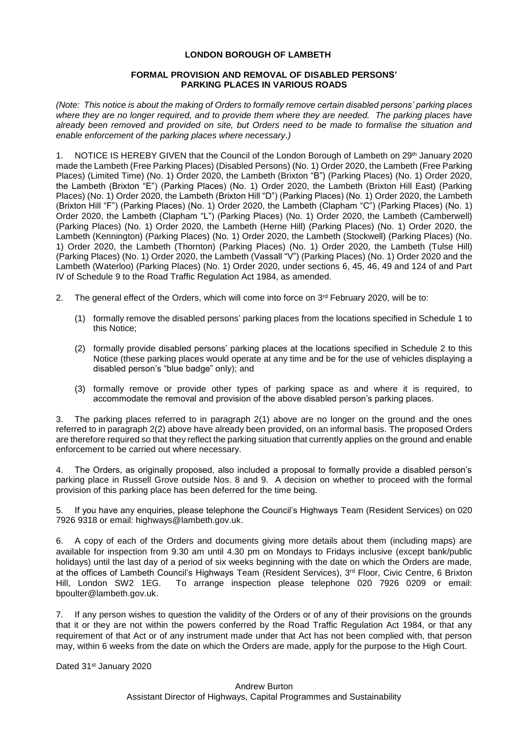# **LONDON BOROUGH OF LAMBETH**

## **FORMAL PROVISION AND REMOVAL OF DISABLED PERSONS' PARKING PLACES IN VARIOUS ROADS**

*(Note: This notice is about the making of Orders to formally remove certain disabled persons' parking places where they are no longer required, and to provide them where they are needed. The parking places have already been removed and provided on site, but Orders need to be made to formalise the situation and enable enforcement of the parking places where necessary.)*

1. NOTICE IS HEREBY GIVEN that the Council of the London Borough of Lambeth on 29th January 2020 made the Lambeth (Free Parking Places) (Disabled Persons) (No. 1) Order 2020, the Lambeth (Free Parking Places) (Limited Time) (No. 1) Order 2020, the Lambeth (Brixton "B") (Parking Places) (No. 1) Order 2020, the Lambeth (Brixton "E") (Parking Places) (No. 1) Order 2020, the Lambeth (Brixton Hill East) (Parking Places) (No. 1) Order 2020, the Lambeth (Brixton Hill "D") (Parking Places) (No. 1) Order 2020, the Lambeth (Brixton Hill "F") (Parking Places) (No. 1) Order 2020, the Lambeth (Clapham "C") (Parking Places) (No. 1) Order 2020, the Lambeth (Clapham "L") (Parking Places) (No. 1) Order 2020, the Lambeth (Camberwell) (Parking Places) (No. 1) Order 2020, the Lambeth (Herne Hill) (Parking Places) (No. 1) Order 2020, the Lambeth (Kennington) (Parking Places) (No. 1) Order 2020, the Lambeth (Stockwell) (Parking Places) (No. 1) Order 2020, the Lambeth (Thornton) (Parking Places) (No. 1) Order 2020, the Lambeth (Tulse Hill) (Parking Places) (No. 1) Order 2020, the Lambeth (Vassall "V") (Parking Places) (No. 1) Order 2020 and the Lambeth (Waterloo) (Parking Places) (No. 1) Order 2020, under sections 6, 45, 46, 49 and 124 of and Part IV of Schedule 9 to the Road Traffic Regulation Act 1984, as amended.

- 2. The general effect of the Orders, which will come into force on 3<sup>rd</sup> February 2020, will be to:
	- (1) formally remove the disabled persons' parking places from the locations specified in Schedule 1 to this Notice;
	- (2) formally provide disabled persons' parking places at the locations specified in Schedule 2 to this Notice (these parking places would operate at any time and be for the use of vehicles displaying a disabled person's "blue badge" only); and
	- (3) formally remove or provide other types of parking space as and where it is required, to accommodate the removal and provision of the above disabled person's parking places.

3. The parking places referred to in paragraph 2(1) above are no longer on the ground and the ones referred to in paragraph 2(2) above have already been provided, on an informal basis. The proposed Orders are therefore required so that they reflect the parking situation that currently applies on the ground and enable enforcement to be carried out where necessary.

4. The Orders, as originally proposed, also included a proposal to formally provide a disabled person's parking place in Russell Grove outside Nos. 8 and 9. A decision on whether to proceed with the formal provision of this parking place has been deferred for the time being.

5. If you have any enquiries, please telephone the Council's Highways Team (Resident Services) on 020 7926 9318 or email: [highways@lambeth.gov.uk.](mailto:highways@lambeth.gov.uk)

6. A copy of each of the Orders and documents giving more details about them (including maps) are available for inspection from 9.30 am until 4.30 pm on Mondays to Fridays inclusive (except bank/public holidays) until the last day of a period of six weeks beginning with the date on which the Orders are made, at the offices of Lambeth Council's Highways Team (Resident Services), 3<sup>rd</sup> Floor, Civic Centre, 6 Brixton Hill, London SW2 1EG. To arrange inspection please telephone 020 7926 0209 or email: [bpoulter@lambeth.gov.uk.](mailto:bpoulter@lambeth.gov.uk)

7. If any person wishes to question the validity of the Orders or of any of their provisions on the grounds that it or they are not within the powers conferred by the Road Traffic Regulation Act 1984, or that any requirement of that Act or of any instrument made under that Act has not been complied with, that person may, within 6 weeks from the date on which the Orders are made, apply for the purpose to the High Court.

Dated 31<sup>st</sup> January 2020